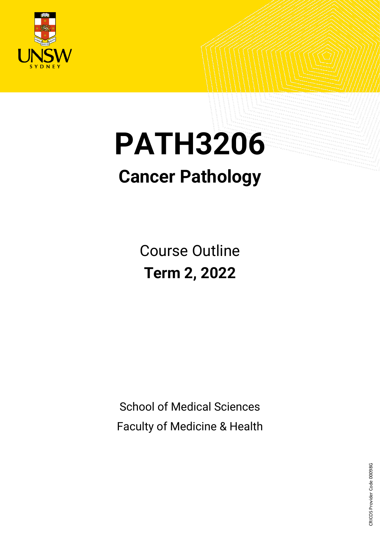

# **PATH3206**

## **Cancer Pathology**

Course Outline **Term 2, 2022**

School of Medical Sciences Faculty of Medicine & Health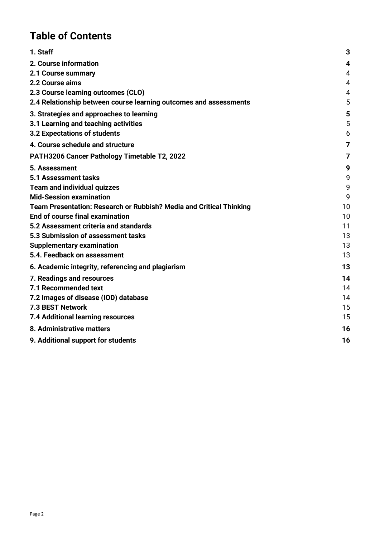## **Table of Contents**

| 1. Staff                                                            | 3              |
|---------------------------------------------------------------------|----------------|
| 2. Course information                                               | 4              |
| 2.1 Course summary                                                  | 4              |
| 2.2 Course aims                                                     | $\overline{4}$ |
| 2.3 Course learning outcomes (CLO)                                  | 4              |
| 2.4 Relationship between course learning outcomes and assessments   | 5              |
| 3. Strategies and approaches to learning                            | 5              |
| 3.1 Learning and teaching activities                                | 5              |
| <b>3.2 Expectations of students</b>                                 | 6              |
| 4. Course schedule and structure                                    | $\overline{7}$ |
| PATH3206 Cancer Pathology Timetable T2, 2022                        | $\overline{7}$ |
| 5. Assessment                                                       | 9              |
| 5.1 Assessment tasks                                                | 9              |
| <b>Team and individual quizzes</b>                                  | 9              |
| <b>Mid-Session examination</b>                                      | 9              |
| Team Presentation: Research or Rubbish? Media and Critical Thinking | 10             |
| End of course final examination                                     | 10             |
| 5.2 Assessment criteria and standards                               | 11             |
| 5.3 Submission of assessment tasks                                  | 13             |
| <b>Supplementary examination</b>                                    | 13             |
| 5.4. Feedback on assessment                                         | 13             |
| 6. Academic integrity, referencing and plagiarism                   | 13             |
| 7. Readings and resources                                           | 14             |
| 7.1 Recommended text                                                | 14             |
| 7.2 Images of disease (IOD) database                                | 14             |
| <b>7.3 BEST Network</b>                                             | 15             |
| 7.4 Additional learning resources                                   | 15             |
| 8. Administrative matters                                           | 16             |
| 9. Additional support for students                                  | 16             |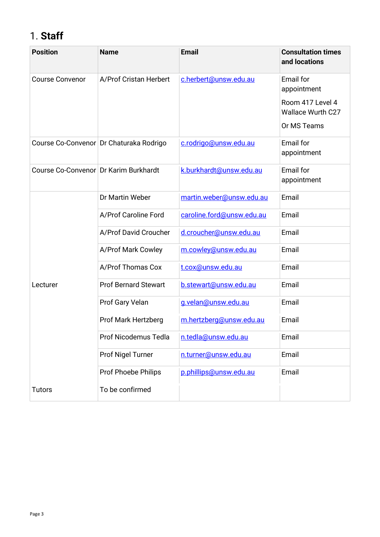## <span id="page-2-0"></span>1. **Staff**

| <b>Position</b>                       | <b>Name</b>                             | <b>Email</b>              | <b>Consultation times</b><br>and locations   |
|---------------------------------------|-----------------------------------------|---------------------------|----------------------------------------------|
| <b>Course Convenor</b>                | A/Prof Cristan Herbert                  | c.herbert@unsw.edu.au     | <b>Email for</b><br>appointment              |
|                                       |                                         |                           | Room 417 Level 4<br><b>Wallace Wurth C27</b> |
|                                       |                                         |                           | Or MS Teams                                  |
|                                       | Course Co-Convenor Dr Chaturaka Rodrigo | c.rodrigo@unsw.edu.au     | <b>Email for</b><br>appointment              |
| Course Co-Convenor Dr Karim Burkhardt |                                         | k.burkhardt@unsw.edu.au   | <b>Email for</b><br>appointment              |
|                                       | Dr Martin Weber                         | martin.weber@unsw.edu.au  | Email                                        |
|                                       | A/Prof Caroline Ford                    | caroline.ford@unsw.edu.au | Email                                        |
|                                       | A/Prof David Croucher                   | d.croucher@unsw.edu.au    | Email                                        |
|                                       | A/Prof Mark Cowley                      | m.cowley@unsw.edu.au      | Email                                        |
|                                       | A/Prof Thomas Cox                       | t.cox@unsw.edu.au         | Email                                        |
| Lecturer                              | <b>Prof Bernard Stewart</b>             | b.stewart@unsw.edu.au     | Email                                        |
|                                       | Prof Gary Velan                         | g.velan@unsw.edu.au       | Email                                        |
|                                       | Prof Mark Hertzberg                     | m.hertzberg@unsw.edu.au   | Email                                        |
|                                       | Prof Nicodemus Tedla                    | n.tedla@unsw.edu.au       | Email                                        |
|                                       | Prof Nigel Turner                       | n.turner@unsw.edu.au      | Email                                        |
|                                       | <b>Prof Phoebe Philips</b>              | p.phillips@unsw.edu.au    | Email                                        |
| <b>Tutors</b>                         | To be confirmed                         |                           |                                              |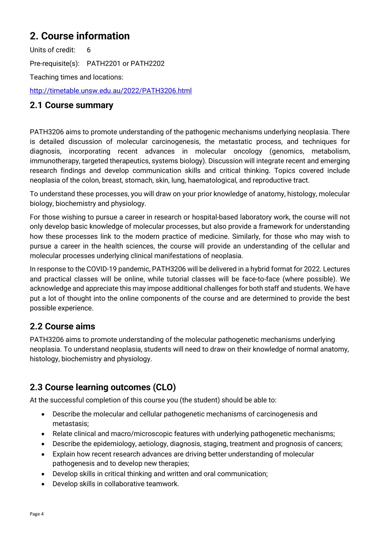## <span id="page-3-0"></span>**2. Course information**

Units of credit: 6 Pre-requisite(s): PATH2201 or PATH2202 Teaching times and locations:

<http://timetable.unsw.edu.au/2022/PATH3206.html>

#### <span id="page-3-1"></span>**2.1 Course summary**

PATH3206 aims to promote understanding of the pathogenic mechanisms underlying neoplasia. There is detailed discussion of molecular carcinogenesis, the metastatic process, and techniques for diagnosis, incorporating recent advances in molecular oncology (genomics, metabolism, immunotherapy, targeted therapeutics, systems biology). Discussion will integrate recent and emerging research findings and develop communication skills and critical thinking. Topics covered include neoplasia of the colon, breast, stomach, skin, lung, haematological, and reproductive tract.

To understand these processes, you will draw on your prior knowledge of anatomy, histology, molecular biology, biochemistry and physiology.

For those wishing to pursue a career in research or hospital-based laboratory work, the course will not only develop basic knowledge of molecular processes, but also provide a framework for understanding how these processes link to the modern practice of medicine. Similarly, for those who may wish to pursue a career in the health sciences, the course will provide an understanding of the cellular and molecular processes underlying clinical manifestations of neoplasia.

In response to the COVID-19 pandemic, PATH3206 will be delivered in a hybrid format for 2022. Lectures and practical classes will be online, while tutorial classes will be face-to-face (where possible). We acknowledge and appreciate this may impose additional challenges for both staff and students. We have put a lot of thought into the online components of the course and are determined to provide the best possible experience.

## <span id="page-3-2"></span>**2.2 Course aims**

PATH3206 aims to promote understanding of the molecular pathogenetic mechanisms underlying neoplasia. To understand neoplasia, students will need to draw on their knowledge of normal anatomy, histology, biochemistry and physiology.

## <span id="page-3-3"></span>**2.3 Course learning outcomes (CLO)**

At the successful completion of this course you (the student) should be able to:

- Describe the molecular and cellular pathogenetic mechanisms of carcinogenesis and metastasis;
- Relate clinical and macro/microscopic features with underlying pathogenetic mechanisms;
- Describe the epidemiology, aetiology, diagnosis, staging, treatment and prognosis of cancers;
- Explain how recent research advances are driving better understanding of molecular pathogenesis and to develop new therapies;
- Develop skills in critical thinking and written and oral communication;
- Develop skills in collaborative teamwork.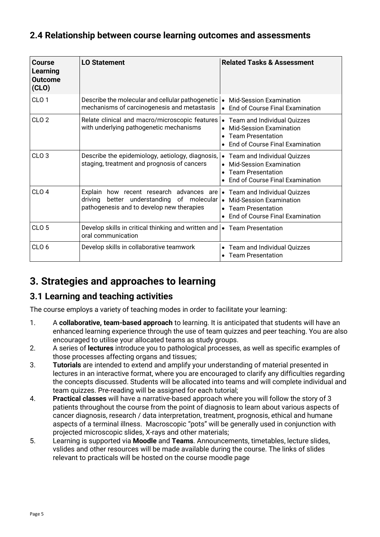## <span id="page-4-0"></span>**2.4 Relationship between course learning outcomes and assessments**

| Course<br>Learning<br>Outcome<br>(CLO) | <b>LO Statement</b>                                                                                                                                             | <b>Related Tasks &amp; Assessment</b>                                                                                                                   |
|----------------------------------------|-----------------------------------------------------------------------------------------------------------------------------------------------------------------|---------------------------------------------------------------------------------------------------------------------------------------------------------|
| CLO <sub>1</sub>                       | Describe the molecular and cellular pathogenetic<br>mechanisms of carcinogenesis and metastasis                                                                 | <b>Mid-Session Examination</b><br>$\bullet$<br>End of Course Final Examination<br>$\bullet$                                                             |
| CLO <sub>2</sub>                       | Relate clinical and macro/microscopic features<br>with underlying pathogenetic mechanisms                                                                       | • Team and Individual Quizzes<br><b>Mid-Session Examination</b><br>$\bullet$<br><b>Team Presentation</b><br>End of Course Final Examination             |
| CLO <sub>3</sub>                       | Describe the epidemiology, aetiology, diagnosis,<br>staging, treatment and prognosis of cancers                                                                 | <b>Team and Individual Quizzes</b><br>$\bullet$<br><b>Mid-Session Examination</b><br><b>Team Presentation</b><br><b>End of Course Final Examination</b> |
| CLO <sub>4</sub>                       | Explain how recent research advances are<br>better understanding of molecular • Mid-Session Examination<br>drivina<br>pathogenesis and to develop new therapies | <b>Team and Individual Quizzes</b><br>$\bullet$<br><b>Team Presentation</b><br>End of Course Final Examination                                          |
| CLO <sub>5</sub>                       | Develop skills in critical thinking and written and<br>oral communication                                                                                       | • Team Presentation                                                                                                                                     |
| CLO <sub>6</sub>                       | Develop skills in collaborative teamwork                                                                                                                        | <b>Team and Individual Quizzes</b><br><b>Team Presentation</b>                                                                                          |

## <span id="page-4-1"></span>**3. Strategies and approaches to learning**

## <span id="page-4-2"></span>**3.1 Learning and teaching activities**

The course employs a variety of teaching modes in order to facilitate your learning:

- 1. A **collaborative, team-based approach** to learning. It is anticipated that students will have an enhanced learning experience through the use of team quizzes and peer teaching. You are also encouraged to utilise your allocated teams as study groups.
- 2. A series of **lectures** introduce you to pathological processes, as well as specific examples of those processes affecting organs and tissues;
- 3. **Tutorials** are intended to extend and amplify your understanding of material presented in lectures in an interactive format, where you are encouraged to clarify any difficulties regarding the concepts discussed. Students will be allocated into teams and will complete individual and team quizzes. Pre-reading will be assigned for each tutorial;
- 4. **Practical classes** will have a narrative-based approach where you will follow the story of 3 patients throughout the course from the point of diagnosis to learn about various aspects of cancer diagnosis, research / data interpretation, treatment, prognosis, ethical and humane aspects of a terminal illness. Macroscopic "pots" will be generally used in conjunction with projected microscopic slides, X-rays and other materials;
- 5. Learning is supported via **Moodle** and **Teams**. Announcements, timetables, lecture slides, vslides and other resources will be made available during the course. The links of slides relevant to practicals will be hosted on the course moodle page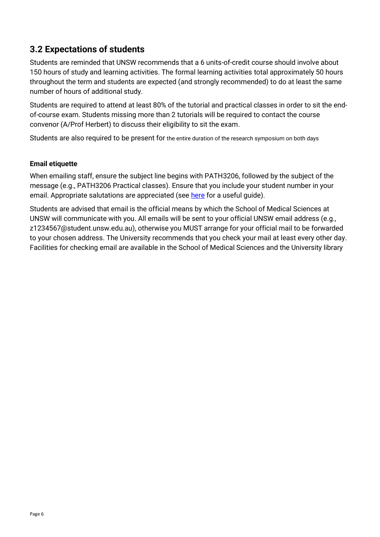## <span id="page-5-0"></span>**3.2 Expectations of students**

Students are reminded that UNSW recommends that a 6 units-of-credit course should involve about 150 hours of study and learning activities. The formal learning activities total approximately 50 hours throughout the term and students are expected (and strongly recommended) to do at least the same number of hours of additional study.

Students are required to attend at least 80% of the tutorial and practical classes in order to sit the endof-course exam. Students missing more than 2 tutorials will be required to contact the course convenor (A/Prof Herbert) to discuss their eligibility to sit the exam.

Students are also required to be present for the entire duration of the research symposium on both days

#### **Email etiquette**

When emailing staff, ensure the subject line begins with PATH3206, followed by the subject of the message (e.g., PATH3206 Practical classes). Ensure that you include your student number in your email. Appropriate salutations are appreciated (see [here](https://www.grammarly.com/blog/how-to-start-an-email/) for a useful guide).

Students are advised that email is the official means by which the School of Medical Sciences at UNSW will communicate with you. All emails will be sent to your official UNSW email address (e.g., [z1234567@student.unsw.edu.au\)](mailto:z1234567@student.unsw.edu.au), otherwise you MUST arrange for your official mail to be forwarded to your chosen address. The University recommends that you check your mail at least every other day. Facilities for checking email are available in the School of Medical Sciences and the University library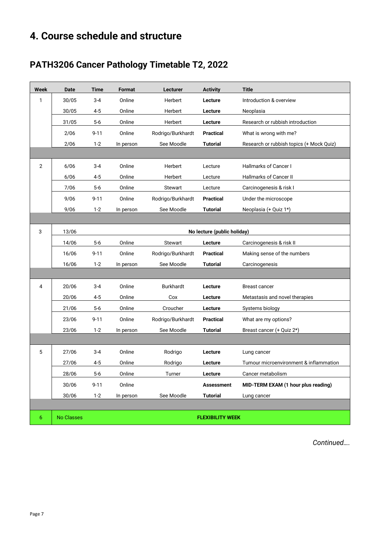## <span id="page-6-0"></span>**4. Course schedule and structure**

## <span id="page-6-1"></span>**PATH3206 Cancer Pathology Timetable T2, 2022**

| Week           | <b>Date</b>       | Time                        | Format    | Lecturer          | <b>Activity</b>         | <b>Title</b>                             |
|----------------|-------------------|-----------------------------|-----------|-------------------|-------------------------|------------------------------------------|
| 1              | 30/05             | $3 - 4$                     | Online    | Herbert           | Lecture                 | Introduction & overview                  |
|                | 30/05             | $4 - 5$                     | Online    | Herbert           | Lecture                 | Neoplasia                                |
|                | 31/05             | $5-6$                       | Online    | Herbert           | Lecture                 | Research or rubbish introduction         |
|                | 2/06              | $9 - 11$                    | Online    | Rodrigo/Burkhardt | <b>Practical</b>        | What is wrong with me?                   |
|                | 2/06              | $1 - 2$                     | In person | See Moodle        | <b>Tutorial</b>         | Research or rubbish topics (+ Mock Quiz) |
|                |                   |                             |           |                   |                         |                                          |
| $\overline{2}$ | 6/06              | $3-4$                       | Online    | Herbert           | Lecture                 | <b>Hallmarks of Cancer I</b>             |
|                | 6/06              | $4 - 5$                     | Online    | Herbert           | Lecture                 | Hallmarks of Cancer II                   |
|                | 7/06              | $5-6$                       | Online    | Stewart           | Lecture                 | Carcinogenesis & risk I                  |
|                | 9/06              | $9 - 11$                    | Online    | Rodrigo/Burkhardt | <b>Practical</b>        | Under the microscope                     |
|                | 9/06              | $1 - 2$                     | In person | See Moodle        | <b>Tutorial</b>         | Neoplasia (+ Quiz 1*)                    |
|                |                   |                             |           |                   |                         |                                          |
| 3              | 13/06             | No lecture (public holiday) |           |                   |                         |                                          |
|                | 14/06             | $5-6$                       | Online    | Stewart           | Lecture                 | Carcinogenesis & risk II                 |
|                | 16/06             | $9 - 11$                    | Online    | Rodrigo/Burkhardt | <b>Practical</b>        | Making sense of the numbers              |
|                | 16/06             | $1 - 2$                     | In person | See Moodle        | <b>Tutorial</b>         | Carcinogenesis                           |
|                |                   |                             |           |                   |                         |                                          |
| 4              | 20/06             | $3-4$                       | Online    | <b>Burkhardt</b>  | Lecture                 | <b>Breast cancer</b>                     |
|                | 20/06             | $4 - 5$                     | Online    | Cox               | Lecture                 | Metastasis and novel therapies           |
|                | 21/06             | $5-6$                       | Online    | Croucher          | Lecture                 | Systems biology                          |
|                | 23/06             | $9 - 11$                    | Online    | Rodrigo/Burkhardt | <b>Practical</b>        | What are my options?                     |
|                | 23/06             | $1 - 2$                     | In person | See Moodle        | Tutorial                | Breast cancer (+ Quiz 2*)                |
|                |                   |                             |           |                   |                         |                                          |
| 5              | 27/06             | $3 - 4$                     | Online    | Rodrigo           | Lecture                 | Lung cancer                              |
|                | 27/06             | $4 - 5$                     | Online    | Rodrigo           | Lecture                 | Tumour microenvironment & inflammation   |
|                | 28/06             | $5-6$                       | Online    | Turner            | Lecture                 | Cancer metabolism                        |
|                | 30/06             | $9 - 11$                    | Online    |                   | <b>Assessment</b>       | MID-TERM EXAM (1 hour plus reading)      |
|                | 30/06             | $1-2$                       | In person | See Moodle        | <b>Tutorial</b>         | Lung cancer                              |
|                |                   |                             |           |                   |                         |                                          |
| 6              | <b>No Classes</b> |                             |           |                   | <b>FLEXIBILITY WEEK</b> |                                          |

*Continued….*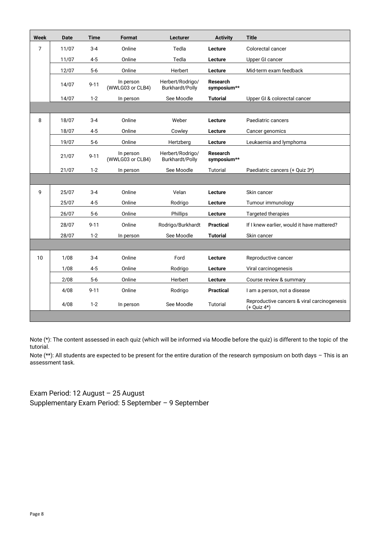| Week | Date  | <b>Time</b> | Format                        | <b>Lecturer</b>                     | <b>Activity</b>                | <b>Title</b>                                               |
|------|-------|-------------|-------------------------------|-------------------------------------|--------------------------------|------------------------------------------------------------|
| 7    | 11/07 | $3 - 4$     | Online                        | Tedla                               | Lecture                        | Colorectal cancer                                          |
|      | 11/07 | $4 - 5$     | Online                        | Tedla                               | Lecture                        | Upper GI cancer                                            |
|      | 12/07 | $5-6$       | Online                        | <b>Herbert</b>                      | Lecture                        | Mid-term exam feedback                                     |
|      | 14/07 | $9 - 11$    | In person<br>(WWLG03 or CLB4) | Herbert/Rodrigo/<br>Burkhardt/Polly | Research<br>symposium**        |                                                            |
|      | 14/07 | $1 - 2$     | In person                     | See Moodle                          | <b>Tutorial</b>                | Upper GI & colorectal cancer                               |
|      |       |             |                               |                                     |                                |                                                            |
| 8    | 18/07 | $3 - 4$     | Online                        | Weber                               | Lecture                        | Paediatric cancers                                         |
|      | 18/07 | $4 - 5$     | Online                        | Cowley                              | Lecture                        | Cancer genomics                                            |
|      | 19/07 | $5-6$       | Online                        | Hertzberg                           | Lecture                        | Leukaemia and lymphoma                                     |
|      | 21/07 | $9 - 11$    | In person<br>(WWLG03 or CLB4) | Herbert/Rodrigo/<br>Burkhardt/Polly | <b>Research</b><br>symposium** |                                                            |
|      | 21/07 | $1 - 2$     | In person                     | See Moodle                          | Tutorial                       | Paediatric cancers (+ Quiz 3*)                             |
|      |       |             |                               |                                     |                                |                                                            |
| 9    | 25/07 | $3 - 4$     | Online                        | Velan                               | Lecture                        | Skin cancer                                                |
|      | 25/07 | $4 - 5$     | Online                        | Rodrigo                             | Lecture                        | Tumour immunology                                          |
|      | 26/07 | $5-6$       | Online                        | Phillips                            | Lecture                        | Targeted therapies                                         |
|      | 28/07 | $9 - 11$    | Online                        | Rodrigo/Burkhardt                   | <b>Practical</b>               | If I knew earlier, would it have mattered?                 |
|      | 28/07 | $1-2$       | In person                     | See Moodle                          | <b>Tutorial</b>                | Skin cancer                                                |
|      |       |             |                               |                                     |                                |                                                            |
| 10   | 1/08  | $3 - 4$     | Online                        | Ford                                | Lecture                        | Reproductive cancer                                        |
|      | 1/08  | $4 - 5$     | Online                        | Rodrigo                             | Lecture                        | Viral carcinogenesis                                       |
|      | 2/08  | $5-6$       | Online                        | Herbert                             | Lecture                        | Course review & summary                                    |
|      | 4/08  | $9 - 11$    | Online                        | Rodrigo                             | <b>Practical</b>               | I am a person, not a disease                               |
|      | 4/08  | $1-2$       | In person                     | See Moodle                          | Tutorial                       | Reproductive cancers & viral carcinogenesis<br>(+ Quiz 4*) |
|      |       |             |                               |                                     |                                |                                                            |

Note (\*): The content assessed in each quiz (which will be informed via Moodle before the quiz) is different to the topic of the tutorial.

Note (\*\*): All students are expected to be present for the entire duration of the research symposium on both days - This is an assessment task.

Exam Period: 12 August – 25 August Supplementary Exam Period: 5 September – 9 September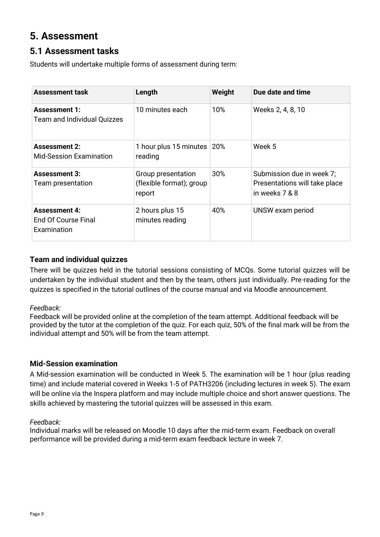## <span id="page-8-0"></span>**5. Assessment**

### <span id="page-8-1"></span>**5.1 Assessment tasks**

Students will undertake multiple forms of assessment during term:

| <b>Assessment task</b>                                            | Length                                                   | Weight | Due date and time                                                            |
|-------------------------------------------------------------------|----------------------------------------------------------|--------|------------------------------------------------------------------------------|
| <b>Assessment 1:</b><br><b>Team and Individual Quizzes</b>        | 10 minutes each                                          | 10%    | Weeks 2, 4, 8, 10                                                            |
| <b>Assessment 2:</b><br><b>Mid-Session Examination</b>            | 1 hour plus 15 minutes<br>reading                        | 20%    | Week 5                                                                       |
| <b>Assessment 3:</b><br>Team presentation                         | Group presentation<br>(flexible format); group<br>report | 30%    | Submission due in week 7;<br>Presentations will take place<br>in weeks 7 & 8 |
| <b>Assessment 4:</b><br><b>End Of Course Final</b><br>Examination | 2 hours plus 15<br>minutes reading                       | 40%    | UNSW exam period                                                             |

#### <span id="page-8-2"></span>**Team and individual quizzes**

There will be quizzes held in the tutorial sessions consisting of MCQs. Some tutorial quizzes will be undertaken by the individual student and then by the team, others just individually. Pre-reading for the quizzes is specified in the tutorial outlines of the course manual and via Moodle announcement.

#### *Feedback:*

Feedback will be provided online at the completion of the team attempt. Additional feedback will be provided by the tutor at the completion of the quiz. For each quiz, 50% of the final mark will be from the individual attempt and 50% will be from the team attempt.

#### <span id="page-8-3"></span>**Mid-Session examination**

A Mid-session examination will be conducted in Week 5. The examination will be 1 hour (plus reading time) and include material covered in Weeks 1-5 of PATH3206 (including lectures in week 5). The exam will be online via the Inspera platform and may include multiple choice and short answer questions. The skills achieved by mastering the tutorial quizzes will be assessed in this exam.

#### *Feedback:*

Individual marks will be released on Moodle 10 days after the mid-term exam. Feedback on overall performance will be provided during a mid-term exam feedback lecture in week 7.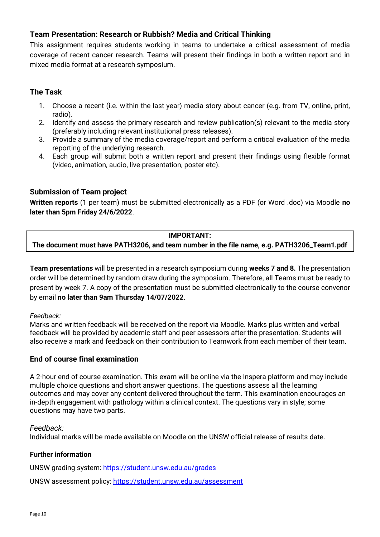#### <span id="page-9-0"></span>**Team Presentation: Research or Rubbish? Media and Critical Thinking**

This assignment requires students working in teams to undertake a critical assessment of media coverage of recent cancer research. Teams will present their findings in both a written report and in mixed media format at a research symposium.

#### **The Task**

- 1. Choose a recent (i.e. within the last year) media story about cancer (e.g. from TV, online, print, radio).
- 2. Identify and assess the primary research and review publication(s) relevant to the media story (preferably including relevant institutional press releases).
- 3. Provide a summary of the media coverage/report and perform a critical evaluation of the media reporting of the underlying research.
- 4. Each group will submit both a written report and present their findings using flexible format (video, animation, audio, live presentation, poster etc).

#### **Submission of Team project**

**Written reports** (1 per team) must be submitted electronically as a PDF (or Word .doc) via Moodle **no later than 5pm Friday 24/6/2022**.

#### **IMPORTANT: The document must have PATH3206, and team number in the file name, e.g. PATH3206\_Team1.pdf**

**Team presentations** will be presented in a research symposium during **weeks 7 and 8.** The presentation order will be determined by random draw during the symposium. Therefore, all Teams must be ready to present by week 7. A copy of the presentation must be submitted electronically to the course convenor by email **no later than 9am Thursday 14/07/2022**.

#### *Feedback:*

Marks and written feedback will be received on the report via Moodle. Marks plus written and verbal feedback will be provided by academic staff and peer assessors after the presentation. Students will also receive a mark and feedback on their contribution to Teamwork from each member of their team.

#### <span id="page-9-1"></span>**End of course final examination**

A 2-hour end of course examination. This exam will be online via the Inspera platform and may include multiple choice questions and short answer questions. The questions assess all the learning outcomes and may cover any content delivered throughout the term. This examination encourages an in-depth engagement with pathology within a clinical context. The questions vary in style; some questions may have two parts.

#### *Feedback:*

Individual marks will be made available on Moodle on the UNSW official release of results date.

#### **Further information**

UNSW grading system:<https://student.unsw.edu.au/grades>

UNSW assessment policy:<https://student.unsw.edu.au/assessment>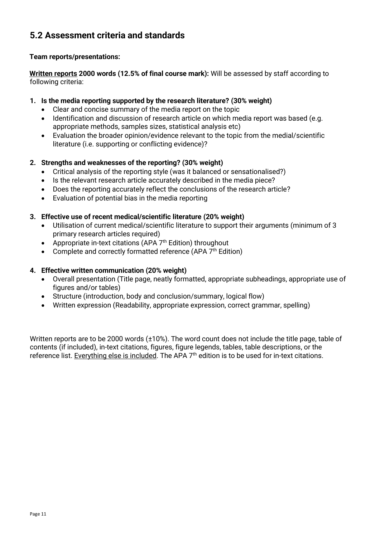## <span id="page-10-0"></span>**5.2 Assessment criteria and standards**

#### **Team reports/presentations:**

**Written reports 2000 words (12.5% of final course mark):** Will be assessed by staff according to following criteria:

#### **1. Is the media reporting supported by the research literature? (30% weight)**

- Clear and concise summary of the media report on the topic
- Identification and discussion of research article on which media report was based (e.g. appropriate methods, samples sizes, statistical analysis etc)
- Evaluation the broader opinion/evidence relevant to the topic from the medial/scientific literature (i.e. supporting or conflicting evidence)?

#### **2. Strengths and weaknesses of the reporting? (30% weight)**

- Critical analysis of the reporting style (was it balanced or sensationalised?)
- Is the relevant research article accurately described in the media piece?
- Does the reporting accurately reflect the conclusions of the research article?
- Evaluation of potential bias in the media reporting

#### **3. Effective use of recent medical/scientific literature (20% weight)**

- Utilisation of current medical/scientific literature to support their arguments (minimum of 3 primary research articles required)
- Appropriate in-text citations (APA  $7<sup>th</sup>$  Edition) throughout
- Complete and correctly formatted reference (APA  $7<sup>th</sup>$  Edition)

#### **4. Effective written communication (20% weight)**

- Overall presentation (Title page, neatly formatted, appropriate subheadings, appropriate use of figures and/or tables)
- Structure (introduction, body and conclusion/summary, logical flow)
- Written expression (Readability, appropriate expression, correct grammar, spelling)

Written reports are to be 2000 words (±10%). The word count does not include the title page, table of contents (if included), in-text citations, figures, figure legends, tables, table descriptions, or the reference list. Everything else is included. The APA 7<sup>th</sup> edition is to be used for in-text citations.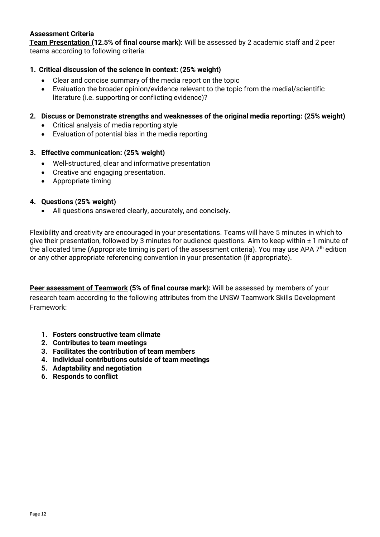#### **Assessment Criteria**

**Team Presentation (12.5% of final course mark):** Will be assessed by 2 academic staff and 2 peer teams according to following criteria:

#### **1. Critical discussion of the science in context: (25% weight)**

- Clear and concise summary of the media report on the topic
- Evaluation the broader opinion/evidence relevant to the topic from the medial/scientific literature (i.e. supporting or conflicting evidence)?

#### **2. Discuss or Demonstrate strengths and weaknesses of the original media reporting: (25% weight)**

- Critical analysis of media reporting style
- Evaluation of potential bias in the media reporting

#### **3. Effective communication: (25% weight)**

- Well-structured, clear and informative presentation
- Creative and engaging presentation.
- Appropriate timing

#### **4. Questions (25% weight)**

All questions answered clearly, accurately, and concisely.

Flexibility and creativity are encouraged in your presentations. Teams will have 5 minutes in which to give their presentation, followed by 3 minutes for audience questions. Aim to keep within ± 1 minute of the allocated time (Appropriate timing is part of the assessment criteria). You may use APA  $7<sup>th</sup>$  edition or any other appropriate referencing convention in your presentation (if appropriate).

**Peer assessment of Teamwork (5% of final course mark):** Will be assessed by members of your research team according to the following attributes from the UNSW Teamwork Skills Development Framework:

- **1. Fosters constructive team climate**
- **2. Contributes to team meetings**
- **3. Facilitates the contribution of team members**
- **4. Individual contributions outside of team meetings**
- **5. Adaptability and negotiation**
- **6. Responds to conflict**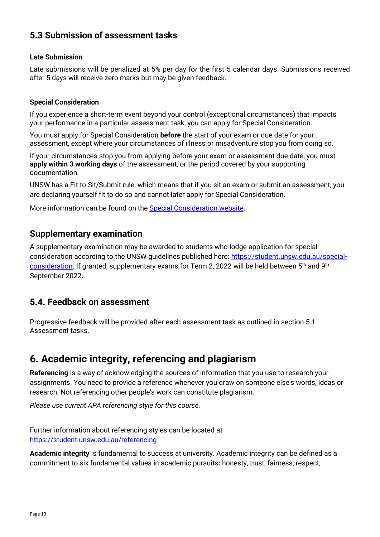## <span id="page-12-0"></span>**5.3 Submission of assessment tasks**

#### **Late Submission**

Late submissions will be penalized at 5% per day for the first 5 calendar days. Submissions received after 5 days will receive zero marks but may be given feedback.

#### **Special Consideration**

If you experience a short-term event beyond your control (exceptional circumstances) that impacts your performance in a particular assessment task, you can apply for Special Consideration.

You must apply for Special Consideration **before** the start of your exam or due date for your assessment, except where your circumstances of illness or misadventure stop you from doing so.

If your circumstances stop you from applying before your exam or assessment due date, you must **apply within 3 working days** of the assessment, or the period covered by your supporting documentation.

UNSW has a Fit to Sit/Submit rule, which means that if you sit an exam or submit an assessment, you are declaring yourself fit to do so and cannot later apply for Special Consideration.

More information can be found on the [Special Consideration website.](https://www.student.unsw.edu.au/special-consideration)

#### <span id="page-12-1"></span>**Supplementary examination**

A supplementary examination may be awarded to students who lodge application for special consideration according to the UNSW guidelines published here: [https://student.unsw.edu.au/special](https://student.unsw.edu.au/special-consideration)[consideration.](https://student.unsw.edu.au/special-consideration) If granted, supplementary exams for Term 2, 2022 will be held between 5<sup>th</sup> and 9<sup>th</sup> September 2022**.**

#### <span id="page-12-2"></span>**5.4. Feedback on assessment**

Progressive feedback will be provided after each assessment task as outlined in section 5.1 Assessment tasks.

## <span id="page-12-3"></span>**6. Academic integrity, referencing and plagiarism**

**Referencing** is a way of acknowledging the sources of information that you use to research your assignments. You need to provide a reference whenever you draw on someone else's words, ideas or research. Not referencing other people's work can constitute plagiarism.

*Please use current APA referencing style for this course.*

Further information about referencing styles can be located at <https://student.unsw.edu.au/referencing>

**Academic integrity** is fundamental to success at university. Academic integrity can be defined as a commitment to six fundamental values in academic pursuits**:** honesty, trust, fairness, respect,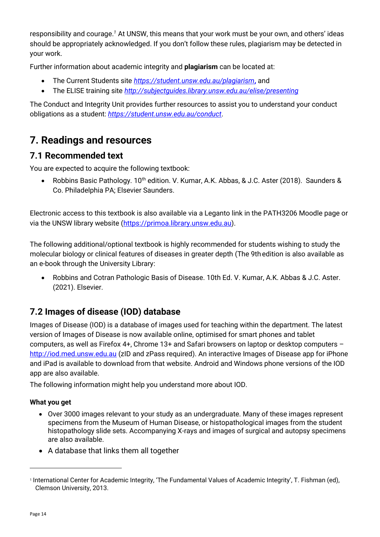responsibility and courage.*<sup>1</sup>* At UNSW, this means that your work must be your own, and others' ideas should be appropriately acknowledged. If you don't follow these rules, plagiarism may be detected in your work.

Further information about academic integrity and **plagiarism** can be located at:

- The Current Students site *<https://student.unsw.edu.au/plagiarism>***,** and
- The ELISE training site *<http://subjectguides.library.unsw.edu.au/elise/presenting>*

The Conduct and Integrity Unit provides further resources to assist you to understand your conduct obligations as a student: *<https://student.unsw.edu.au/conduct>*.

## <span id="page-13-0"></span>**7. Readings and resources**

## <span id="page-13-1"></span>**7.1 Recommended text**

You are expected to acquire the following textbook:

• Robbins Basic Pathology. 10<sup>th</sup> edition. V. Kumar, A.K. Abbas, & J.C. Aster (2018). Saunders & Co. Philadelphia PA; Elsevier Saunders.

Electronic access to this textbook is also available via a Leganto link in the PATH3206 Moodle page or via the UNSW library website [\(https://primoa.library.unsw.edu.au\)](https://primoa.library.unsw.edu.au/).

The following additional/optional textbook is highly recommended for students wishing to study the molecular biology or clinical features of diseases in greater depth (The 9th edition is also available as an e-book through the University Library:

• Robbins and Cotran Pathologic Basis of Disease. 10th Ed. V. Kumar, A.K. Abbas & J.C. Aster. (2021). Elsevier.

## <span id="page-13-2"></span>**7.2 Images of disease (IOD) database**

Images of Disease (IOD) is a database of images used for teaching within the department. The latest version of Images of Disease is now available online, optimised for smart phones and tablet computers, as well as Firefox 4+, Chrome 13+ and Safari browsers on laptop or desktop computers – [http://iod.med.unsw.edu.au](http://iod.med.unsw.edu.au/) (zID and zPass required). An interactive Images of Disease app for iPhone and iPad is available to download from that website. Android and Windows phone versions of the IOD app are also available.

The following information might help you understand more about IOD.

#### **What you get**

- Over 3000 images relevant to your study as an undergraduate. Many of these images represent specimens from the Museum of Human Disease, or histopathological images from the student histopathology slide sets. Accompanying X-rays and images of surgical and autopsy specimens are also available.
- A database that links them all together

<sup>1</sup> International Center for Academic Integrity, 'The Fundamental Values of Academic Integrity', T. Fishman (ed), Clemson University, 2013.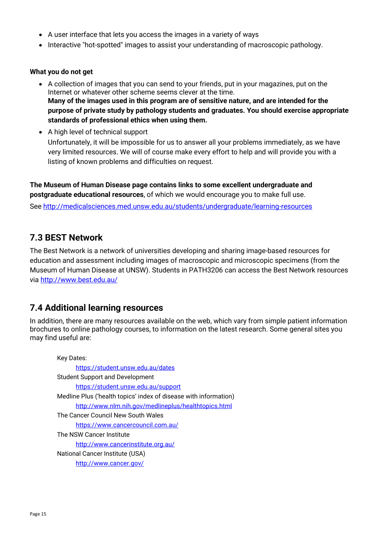- A user interface that lets you access the images in a variety of ways
- Interactive "hot-spotted" images to assist your understanding of macroscopic pathology.

#### **What you do not get**

- A collection of images that you can send to your friends, put in your magazines, put on the Internet or whatever other scheme seems clever at the time. **Many of the images used in this program are of sensitive nature, and are intended for the purpose of private study by pathology students and graduates. You should exercise appropriate standards of professional ethics when using them.**
- A high level of technical support Unfortunately, it will be impossible for us to answer all your problems immediately, as we have very limited resources. We will of course make every effort to help and will provide you with a listing of known problems and difficulties on request.

**The Museum of Human Disease page contains links to some excellent undergraduate and postgraduate educational resources**, of which we would encourage you to make full use.

Se[e http://medicalsciences.med.unsw.edu.au/students/undergraduate/learning-resources](http://medicalsciences.med.unsw.edu.au/students/undergraduate/learning-resources)

#### <span id="page-14-0"></span>**7.3 BEST Network**

The Best Network is a network of universities developing and sharing image-based resources for education and assessment including images of macroscopic and microscopic specimens (from the Museum of Human Disease at UNSW). Students in PATH3206 can access the Best Network resources via<http://www.best.edu.au/>

#### <span id="page-14-1"></span>**7.4 Additional learning resources**

In addition, there are many resources available on the web, which vary from simple patient information brochures to online pathology courses, to information on the latest research. Some general sites you may find useful are:

| Key Dates:                                                       |
|------------------------------------------------------------------|
| https://student.unsw.edu.au/dates                                |
| <b>Student Support and Development</b>                           |
| https://student.unsw.edu.au/support                              |
| Medline Plus ('health topics' index of disease with information) |
| http://www.nlm.nih.gov/medlineplus/healthtopics.html             |
| The Cancer Council New South Wales                               |
| https://www.cancercouncil.com.au/                                |
| The NSW Cancer Institute                                         |
| http://www.cancerinstitute.org.au/                               |
| National Cancer Institute (USA)                                  |
| http://www.cancer.gov/                                           |
|                                                                  |